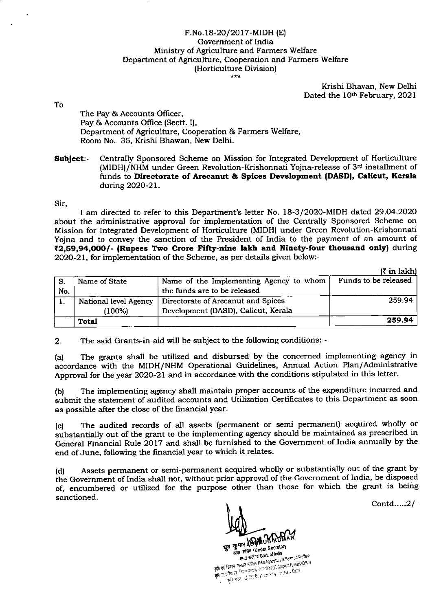## F.No.18-20/2017-MIDH (E) Govemment of India Ministry of Agriculture and Farmers Welfare Department of Agriculture, Cooperation and Farmers Welfare (Horticulture Division)

Krishi Bhavan, New Delhi Dated the 10<sup>th</sup> February, 2021

lo

The Pay & Accounts Oflicer, Pay & Accounts Office (Sectt. I), Department of Agriculture, Cooperation & Farmers Welfare, Room No. 35, Krishi Bhawan, New Delhi.

Subject:- Centrally Sponsored Scheme on Mission for Integrated Development of Horticulture (MIDH)/NHM under Green Revolution-Krishonnati Yojna-release of 3'd installment of funds to Directorate of Arecanut & Spices Development (DASD), Calicut, Kerala during 2020-21.

Sir,

I am directed to refer to this Department's letter No. I8-3/2020-MIDH dated 29.O4.2O2O about the administrative approval for implementation of the Centrally Sponsored Scheme on Mission for Integrated Development of Horticulture (MIDH) under Green Revolution-Krishonnati Yojna and to convey the sanction of the President of India to the payment of an amount of ₹2,59,94,000/- (Rupees Two Crore Fifty-nine lakh and Ninety-four thousand only) during 2020-21, for implementation of the Scheme, as per details given below:-

 $(F \text{ in } \text{left})$ 

|     |                       |                                         | <b>IN 111 IGHNIA</b> |
|-----|-----------------------|-----------------------------------------|----------------------|
| -S. | Name of State         | Name of the Implementing Agency to whom | Funds to be released |
| No. |                       | the funds are to be released            |                      |
|     | National level Agency | Directorate of Arecanut and Spices      | 259.94               |
|     | 7100%)                | Development (DASD), Calicut, Kerala     |                      |
|     | <b>Total</b>          |                                         | 259.94               |

2. The said Grants-in-aid will be subject to the following conditions: -

(a) The grants shall be utilized and disbursed by the concerned implementing agency in accordance with the MIDH/NHM Operational Guidelines, Annual Action Plan/Administrative Approval for the year 2020-21 and in accordance with the conditions stipulated in this letter.

(b) The implementing agency shall maintain proper accounts of the expenditure incurred and submit the statement of audited accounts and Utilization Certificates to this Department as soon as possible after the close of the financial year.

(c) The audited records of all assets (permanent or semi permanent) acquired wholly or substantially out of the grant to the implementing agency should be maintained as prescribed in General Financial Rule 2017 and shall be furnished to the Govemment of India annually by the end of June, following the financial year to which it relates.

(d) Assets permanent or semi-permanent acquired wholly or substantially out of the grant by the Government of India shall not, without prior approval of the Government of India, be disposed of, encumbered or utilized for the purpose other than those for which the grant is being sanctioned.

Corid.....2/-

Ega To TIR / SARUB

कुमार ADHWUB ... न सचिद । Under Secretain<br>- मारत सरद R/Govt, of India<br>- Allo Angculture & STAT RIVER TO LOUIS INDIA 8<br>FIRE RETAINMONS OF BEATTERS TO PRESENT AND AGROUTIVE & Farmers Vallare<br>STATE RETAINMONS ON A STATE PRESENT AND RETAINMONS OF PRESENT BY PRESENT AND RETAINMONS OF PRESENT AND RESPOND<br>A MEAN DESCR **THAT RECEIVED ONCE OF STATE IN SIGNAL SE**<br>The result of State in State IND Agoda to the Seam is a family in Signal State<br>The result of the seam (State) before the Agoda is a family State<br>The result of the state of the Ago **३ एउं किसने करियाण प्रशासन (**१९९९: १९६९: १९६६: १९६४: १९६४: १९६४: १९६४: १९६४: १९६४: १९६४: १९६४: १९६४: १९६४: १९६४: १९६४: १९६४: १९६४: १९६४: १९६४: १९६४: १९६४: १९६४: १९६४: १९६४: १९६४: १९६४: १९६४: १९६४: १९६४: १९६४: १९६४: १९६४: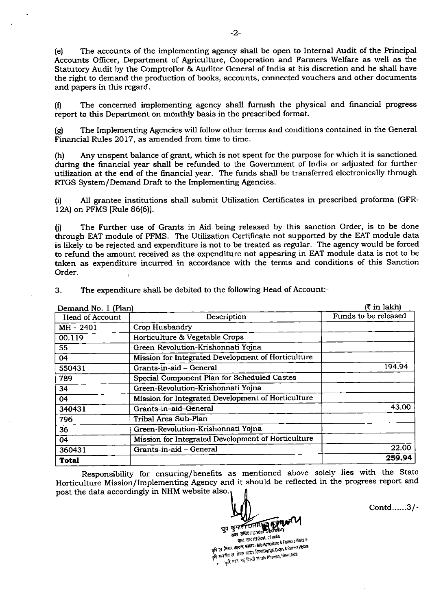(e) The accounts of the implementing agenry shall be open to Internal Audit of the Principal Accounts Officer, Department of Agriculture, Cooperation and Farmers Welfare as well as the Statutory Audit by the Comptroller & Auditor General of India at his discretion and he shall have the right to demand the production of books, accounts, connected vouchers and other documents and papers in this regard.

(0 The concerned implementing agency shall furnish the physical and financial progress report to this Department on monthly basis in the prescribed format.

(g) The Implementing Agencies will follow other terms and conditions contained in the General Financial Rules 2017, as amended from time to time.

(h) Any unspent balance of grant, which is not spent for the purpose for which it is sanctioned during the financial year shall be refunded to the Government of India or adjusted for further utilization at the end of the financial year. The funds shall be transferred electronically through RTGS System/Demand Draft to the Implementing Agencies.

(i) All grantee institutions shall submit Utilization Certificates in prescribed proforma (GFR-12A) on PFMS [Rule 86(6)].

0) The Further use of Grants in Aid being released by this sanction Order, is to be done through EAT module of PFMS. The Utilization Certificate not supported by the EAT module data is likely to be rejected and expenditure is not to be treated as regular. The agency would be forced to refund the amount received as the expenditure not appearing in EAT module data is not to be taken as expenditure incurred in accordance with the terms and conditions of this Sanction Order. I

3. The expenditure shall be debited to the following Head of Account:-

| Demand No. 1 (Plan) | (₹ in lakh)                                        |                      |
|---------------------|----------------------------------------------------|----------------------|
| Head of Account     | Description                                        | Funds to be released |
| MH-2401             | Crop Husbandry                                     |                      |
| 00.119              | Horticulture & Vegetable Crops                     |                      |
| 55                  | Green-Revolution-Krishonnati Yojna                 |                      |
| 04                  | Mission for Integrated Development of Horticulture |                      |
| 550431              | Grants-in-aid - General                            | 194.94               |
| 789                 | Special Component Plan for Scheduled Castes        |                      |
| 34                  | Green-Revolution-Krishonnati Yojna                 |                      |
| 04                  | Mission for Integrated Development of Horticulture |                      |
| 340431              | Grants-in-aid-General                              | 43.00                |
| 796                 | Tribal Area Sub-Plan                               |                      |
| 36                  | Green-Revolution-Krishonnati Yojna                 |                      |
| 04                  | Mission for Integrated Development of Horticulture |                      |
| 360431              | Grants-in-aid - General                            | 22.00                |
| <b>Total</b>        |                                                    | 259.94               |

Responsibility for ensuring/benefits as mentioned above solely lies with the State Horticulture Mission/Implementing Agency and it should be reflected in the progress report and post the data accordingly in NHM website also.

धुव कुमार FDHR dfl qE< I 11 Mica HTC TRIGOVL OF TIME<br>The factor Financial IMIo Agriculture &<br>Financial Action Action Section Agriculus मारत सरदार/Govt. of India कृषि एवं किसान<br>कृषि सहकरित एवं<br>गांधक कृषि गयन, नई दिल्ली /Knshi Bhawan, New Delhi

Contd......3/-